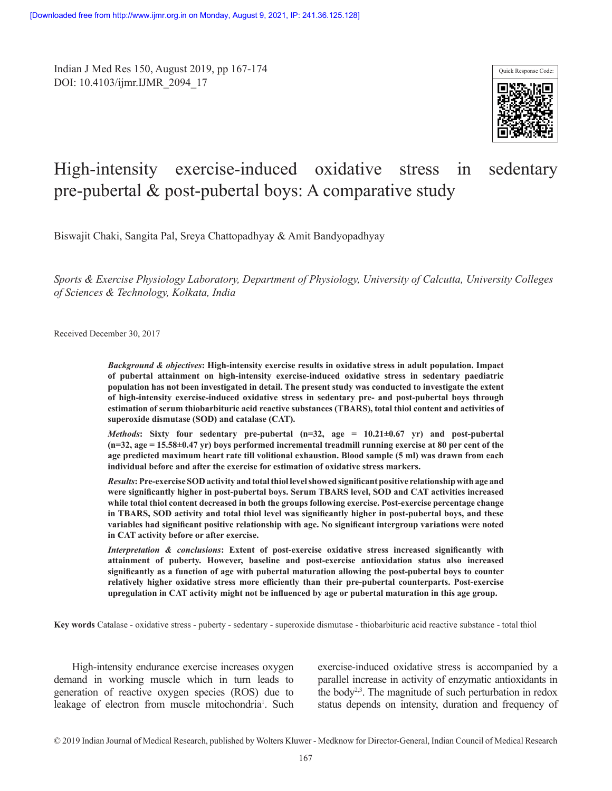Indian J Med Res 150, August 2019, pp 167-174 DOI: 10.4103/ijmr.IJMR\_2094\_17



# High-intensity exercise-induced oxidative stress in sedentary pre-pubertal & post-pubertal boys: A comparative study

Biswajit Chaki, Sangita Pal, Sreya Chattopadhyay & Amit Bandyopadhyay

*Sports & Exercise Physiology Laboratory, Department of Physiology, University of Calcutta, University Colleges of Sciences & Technology, Kolkata, India*

Received December 30, 2017

*Background & objectives***: High-intensity exercise results in oxidative stress in adult population. Impact of pubertal attainment on high-intensity exercise-induced oxidative stress in sedentary paediatric population has not been investigated in detail. The present study was conducted to investigate the extent of high-intensity exercise-induced oxidative stress in sedentary pre- and post-pubertal boys through estimation of serum thiobarbituric acid reactive substances (TBARS), total thiol content and activities of superoxide dismutase (SOD) and catalase (CAT).** 

*Methods***: Sixty four sedentary pre-pubertal (n=32, age = 10.21±0.67 yr) and post-pubertal (n=32, age = 15.58±0.47 yr) boys performed incremental treadmill running exercise at 80 per cent of the age predicted maximum heart rate till volitional exhaustion. Blood sample (5 ml) was drawn from each individual before and after the exercise for estimation of oxidative stress markers.**

*Results***:Pre-exercise SOD activity and total thiol level showed significant positive relationship with age and were significantly higher in post-pubertal boys. Serum TBARS level, SOD and CAT activities increased while total thiol content decreased in both the groups following exercise. Post-exercise percentage change in TBARS, SOD activity and total thiol level was significantly higher in post-pubertal boys, and these variables had significant positive relationship with age. No significant intergroup variations were noted in CAT activity before or after exercise.**

*Interpretation & conclusions***: Extent of post-exercise oxidative stress increased significantly with attainment of puberty. However, baseline and post-exercise antioxidation status also increased significantly as a function of age with pubertal maturation allowing the post-pubertal boys to counter relatively higher oxidative stress more efficiently than their pre-pubertal counterparts. Post-exercise upregulation in CAT activity might not be influenced by age or pubertal maturation in this age group.**

**Key words** Catalase - oxidative stress - puberty - sedentary - superoxide dismutase - thiobarbituric acid reactive substance - total thiol

High-intensity endurance exercise increases oxygen demand in working muscle which in turn leads to generation of reactive oxygen species (ROS) due to leakage of electron from muscle mitochondria<sup>1</sup>. Such exercise-induced oxidative stress is accompanied by a parallel increase in activity of enzymatic antioxidants in the body<sup>2,3</sup>. The magnitude of such perturbation in redox status depends on intensity, duration and frequency of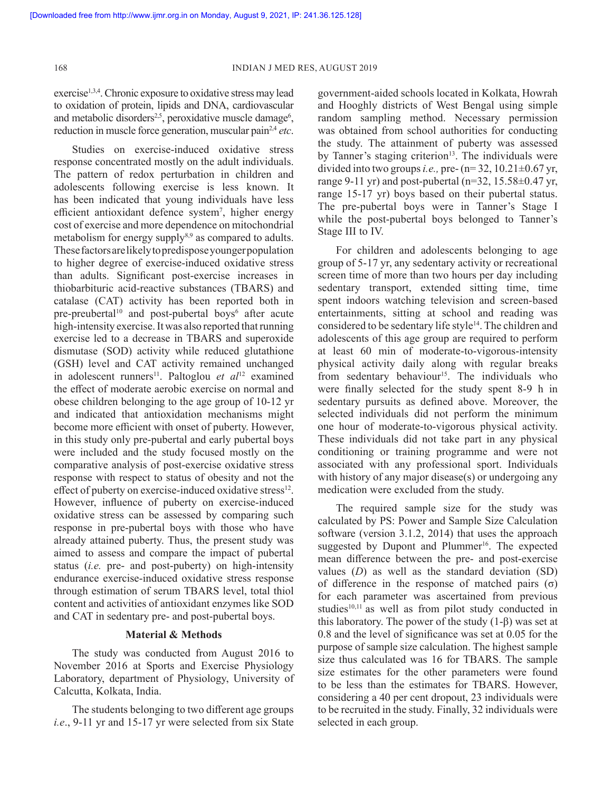exercise<sup>1,3,4</sup>. Chronic exposure to oxidative stress may lead to oxidation of protein, lipids and DNA, cardiovascular and metabolic disorders<sup>2,5</sup>, peroxidative muscle damage<sup>6</sup>, reduction in muscle force generation, muscular pain<sup>2,4</sup> etc.

Studies on exercise-induced oxidative stress response concentrated mostly on the adult individuals. The pattern of redox perturbation in children and adolescents following exercise is less known. It has been indicated that young individuals have less efficient antioxidant defence system<sup>7</sup>, higher energy cost of exercise and more dependence on mitochondrial metabolism for energy supply<sup>8,9</sup> as compared to adults. These factors are likely to predispose younger population to higher degree of exercise-induced oxidative stress than adults. Significant post-exercise increases in thiobarbituric acid-reactive substances (TBARS) and catalase (CAT) activity has been reported both in pre-preubertal<sup>10</sup> and post-pubertal boys<sup>6</sup> after acute high-intensity exercise. It was also reported that running exercise led to a decrease in TBARS and superoxide dismutase (SOD) activity while reduced glutathione (GSH) level and CAT activity remained unchanged in adolescent runners<sup>11</sup>. Paltoglou *et al*<sup>12</sup> examined the effect of moderate aerobic exercise on normal and obese children belonging to the age group of 10-12 yr and indicated that antioxidation mechanisms might become more efficient with onset of puberty. However, in this study only pre-pubertal and early pubertal boys were included and the study focused mostly on the comparative analysis of post-exercise oxidative stress response with respect to status of obesity and not the effect of puberty on exercise-induced oxidative stress<sup>12</sup>. However, influence of puberty on exercise-induced oxidative stress can be assessed by comparing such response in pre-pubertal boys with those who have already attained puberty. Thus, the present study was aimed to assess and compare the impact of pubertal status (*i.e.* pre- and post-puberty) on high-intensity endurance exercise-induced oxidative stress response through estimation of serum TBARS level, total thiol content and activities of antioxidant enzymes like SOD and CAT in sedentary pre- and post-pubertal boys.

## **Material & Methods**

The study was conducted from August 2016 to November 2016 at Sports and Exercise Physiology Laboratory, department of Physiology, University of Calcutta, Kolkata, India.

The students belonging to two different age groups *i.e*., 9-11 yr and 15-17 yr were selected from six State

government-aided schools located in Kolkata, Howrah and Hooghly districts of West Bengal using simple random sampling method. Necessary permission was obtained from school authorities for conducting the study. The attainment of puberty was assessed by Tanner's staging criterion<sup>13</sup>. The individuals were divided into two groups *i.e.,* pre- (n= 32, 10.21±0.67 yr, range 9-11 yr) and post-pubertal (n=32,  $15.58\pm0.47$  yr, range 15-17 yr) boys based on their pubertal status. The pre-pubertal boys were in Tanner's Stage I while the post-pubertal boys belonged to Tanner's Stage III to IV.

For children and adolescents belonging to age group of 5-17 yr, any sedentary activity or recreational screen time of more than two hours per day including sedentary transport, extended sitting time, time spent indoors watching television and screen-based entertainments, sitting at school and reading was considered to be sedentary life style<sup>14</sup>. The children and adolescents of this age group are required to perform at least 60 min of moderate-to-vigorous-intensity physical activity daily along with regular breaks from sedentary behaviour<sup>15</sup>. The individuals who were finally selected for the study spent 8-9 h in sedentary pursuits as defined above. Moreover, the selected individuals did not perform the minimum one hour of moderate-to-vigorous physical activity. These individuals did not take part in any physical conditioning or training programme and were not associated with any professional sport. Individuals with history of any major disease(s) or undergoing any medication were excluded from the study.

The required sample size for the study was calculated by PS: Power and Sample Size Calculation software (version 3.1.2, 2014) that uses the approach suggested by Dupont and Plummer<sup>16</sup>. The expected mean difference between the pre- and post-exercise values (*D*) as well as the standard deviation (SD) of difference in the response of matched pairs (σ) for each parameter was ascertained from previous studies<sup>10,11</sup> as well as from pilot study conducted in this laboratory. The power of the study  $(1-β)$  was set at 0.8 and the level of significance was set at 0.05 for the purpose of sample size calculation. The highest sample size thus calculated was 16 for TBARS. The sample size estimates for the other parameters were found to be less than the estimates for TBARS. However, considering a 40 per cent dropout, 23 individuals were to be recruited in the study. Finally, 32 individuals were selected in each group.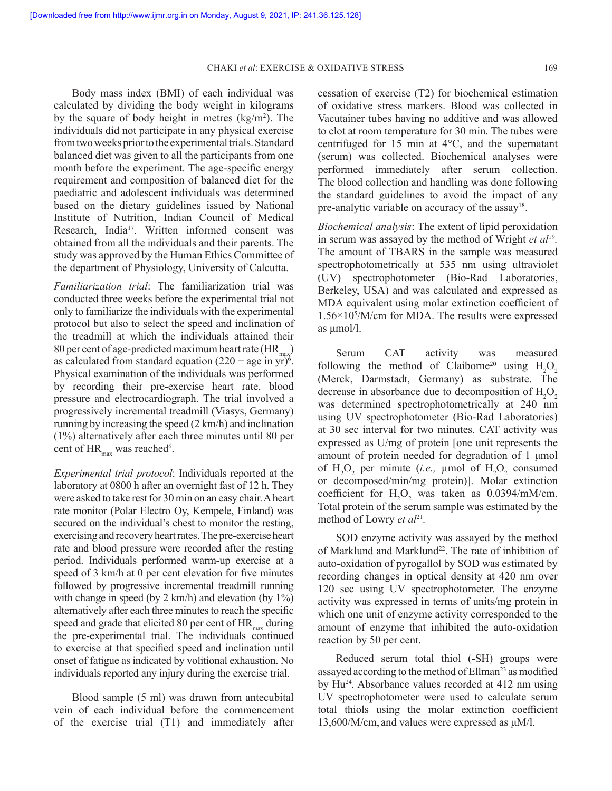CHAKI *et al*: EXERCISE & OXIDATIVE STRESS 169

Body mass index (BMI) of each individual was calculated by dividing the body weight in kilograms by the square of body height in metres (kg/m<sup>2</sup> ). The individuals did not participate in any physical exercise from two weeks prior to the experimental trials. Standard balanced diet was given to all the participants from one month before the experiment. The age-specific energy requirement and composition of balanced diet for the paediatric and adolescent individuals was determined based on the dietary guidelines issued by National Institute of Nutrition, Indian Council of Medical Research, India<sup>17</sup>. Written informed consent was obtained from all the individuals and their parents. The study was approved by the Human Ethics Committee of the department of Physiology, University of Calcutta.

*Familiarization trial*: The familiarization trial was conducted three weeks before the experimental trial not only to familiarize the individuals with the experimental protocol but also to select the speed and inclination of the treadmill at which the individuals attained their  $80$  per cent of age-predicted maximum heart rate (HR $_{\text{max}}$ ) as calculated from standard equation  $(220 - \text{age in yr})^6$ . Physical examination of the individuals was performed by recording their pre-exercise heart rate, blood pressure and electrocardiograph. The trial involved a progressively incremental treadmill (Viasys, Germany) running by increasing the speed (2 km/h) and inclination (1%) alternatively after each three minutes until 80 per cent of  $HR_{max}$  was reached<sup>6</sup>.

*Experimental trial protocol*: Individuals reported at the laboratory at 0800 h after an overnight fast of 12 h. They were asked to take rest for 30 min on an easy chair. A heart rate monitor (Polar Electro Oy, Kempele, Finland) was secured on the individual's chest to monitor the resting, exercising and recovery heart rates. The pre-exercise heart rate and blood pressure were recorded after the resting period. Individuals performed warm-up exercise at a speed of 3 km/h at 0 per cent elevation for five minutes followed by progressive incremental treadmill running with change in speed (by 2 km/h) and elevation (by 1%) alternatively after each three minutes to reach the specific speed and grade that elicited 80 per cent of  $HR_{max}$  during the pre-experimental trial. The individuals continued to exercise at that specified speed and inclination until onset of fatigue as indicated by volitional exhaustion. No individuals reported any injury during the exercise trial.

Blood sample (5 ml) was drawn from antecubital vein of each individual before the commencement of the exercise trial (T1) and immediately after cessation of exercise (T2) for biochemical estimation of oxidative stress markers. Blood was collected in Vacutainer tubes having no additive and was allowed to clot at room temperature for 30 min. The tubes were centrifuged for 15 min at 4°C, and the supernatant (serum) was collected. Biochemical analyses were performed immediately after serum collection. The blood collection and handling was done following the standard guidelines to avoid the impact of any pre-analytic variable on accuracy of the assay<sup>18</sup>.

*Biochemical analysis*: The extent of lipid peroxidation in serum was assayed by the method of Wright *et al*<sup>19</sup> *.* The amount of TBARS in the sample was measured spectrophotometrically at 535 nm using ultraviolet (UV) spectrophotometer (Bio-Rad Laboratories, Berkeley, USA) and was calculated and expressed as MDA equivalent using molar extinction coefficient of 1.56×10<sup>5</sup> /M/cm for MDA. The results were expressed as μmol/l.

Serum CAT activity was measured following the method of Claiborne<sup>20</sup> using  $H<sub>2</sub>O<sub>2</sub>$ (Merck, Darmstadt, Germany) as substrate. The decrease in absorbance due to decomposition of  $H<sub>2</sub>O<sub>2</sub>$ was determined spectrophotometrically at 240 nm using UV spectrophotometer (Bio-Rad Laboratories) at 30 sec interval for two minutes. CAT activity was expressed as U/mg of protein [one unit represents the amount of protein needed for degradation of 1 μmol of  $H_2O_2$  per minute (*i.e.*, µmol of  $H_2O_2$  consumed or decomposed/min/mg protein)]. Molar extinction coefficient for  $H_2O_2$  was taken as 0.0394/mM/cm. Total protein of the serum sample was estimated by the method of Lowry *et al*<sup>21</sup>.

SOD enzyme activity was assayed by the method of Marklund and Marklund<sup>22</sup>. The rate of inhibition of auto-oxidation of pyrogallol by SOD was estimated by recording changes in optical density at 420 nm over 120 sec using UV spectrophotometer. The enzyme activity was expressed in terms of units/mg protein in which one unit of enzyme activity corresponded to the amount of enzyme that inhibited the auto-oxidation reaction by 50 per cent.

Reduced serum total thiol (-SH) groups were assayed according to the method of Ellman<sup>23</sup> as modified by Hu<sup>24</sup>. Absorbance values recorded at 412 nm using UV spectrophotometer were used to calculate serum total thiols using the molar extinction coefficient 13,600/M/cm, and values were expressed as μM/l.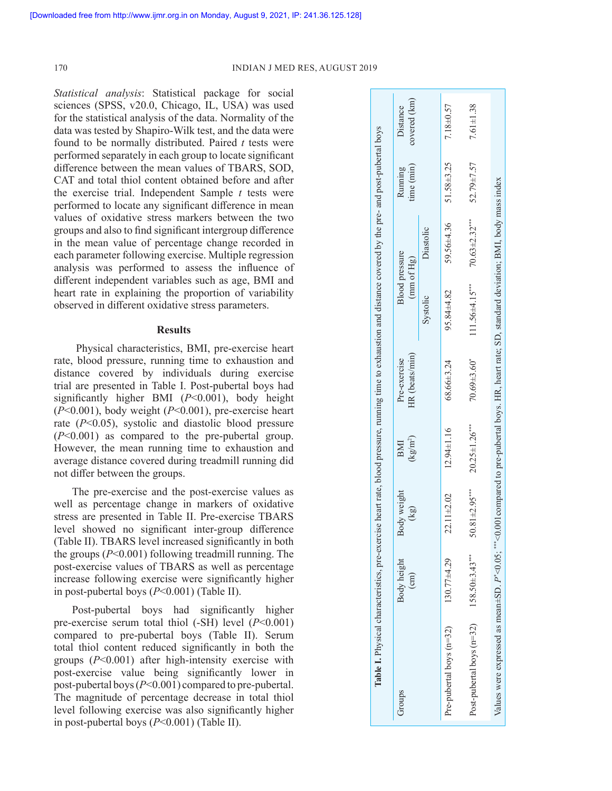170 INDIAN J MED RES, AUGUST 2019

*Statistical analysis*: Statistical package for social sciences (SPSS, v20.0, Chicago, IL, USA) was used for the statistical analysis of the data. Normality of the data was tested by Shapiro-Wilk test, and the data were found to be normally distributed. Paired *t* tests were performed separately in each group to locate significant difference between the mean values of TBARS, SOD, CAT and total thiol content obtained before and after the exercise trial. Independent Sample *t* tests were performed to locate any significant difference in mean values of oxidative stress markers between the two groups and also to find significant intergroup difference in the mean value of percentage change recorded in each parameter following exercise. Multiple regression analysis was performed to assess the influence of different independent variables such as age, BMI and heart rate in explaining the proportion of variability observed in different oxidative stress parameters.

## **Results**

Physical characteristics, BMI, pre-exercise heart rate, blood pressure, running time to exhaustion and distance covered by individuals during exercise trial are presented in Table I. Post-pubertal boys had significantly higher BMI (*P*<0.001), body height (*P*<0.001), body weight (*P*<0.001), pre-exercise heart rate (*P*<0.05), systolic and diastolic blood pressure (*P*<0.001) as compared to the pre-pubertal group. However, the mean running time to exhaustion and average distance covered during treadmill running did not differ between the groups.

The pre-exercise and the post-exercise values as well as percentage change in markers of oxidative stress are presented in Table II. Pre-exercise TBARS level showed no significant inter-group difference (Table II). TBARS level increased significantly in both the groups (*P*<0.001) following treadmill running. The post-exercise values of TBARS as well as percentage increase following exercise were significantly higher in post-pubertal boys (*P*<0.001) (Table II).

Post-pubertal boys had significantly higher pre-exercise serum total thiol (-SH) level (*P*<0.001) compared to pre-pubertal boys (Table II). Serum total thiol content reduced significantly in both the groups (*P*<0.001) after high-intensity exercise with post-exercise value being significantly lower in post-pubertal boys (*P*<0.001) compared to pre-pubertal. The magnitude of percentage decrease in total thiol level following exercise was also significantly higher in post-pubertal boys (*P*<0.001) (Table II).

|                                                                                                                                                 |                      |                                           |                                       | Table I. Physical characteristics, pre-exercise heart rate, blood pressure, running time to exhaustion and distance covered by the pre- and post-pubertal boys |                                     |                     |                       |                          |
|-------------------------------------------------------------------------------------------------------------------------------------------------|----------------------|-------------------------------------------|---------------------------------------|----------------------------------------------------------------------------------------------------------------------------------------------------------------|-------------------------------------|---------------------|-----------------------|--------------------------|
| Groups                                                                                                                                          | Body height<br>(cm)  | Body weight<br>$\left(\frac{1}{2}\right)$ | $\frac{\text{kg}}{\text{m}^2}$<br>BMI | HR (beats/min)<br>Pre-exercise                                                                                                                                 | <b>Blood</b> pressure<br>(mm of Hg) |                     | time (min)<br>Running | covered (km)<br>Distance |
|                                                                                                                                                 |                      |                                           |                                       |                                                                                                                                                                | Systolic                            | Diastolic           |                       |                          |
| Pre-pubertal boys (n=32)                                                                                                                        | $130.77 + 4.29$      | $22.11 \pm 2.02$                          | $12.94 \pm 1.16$                      | $68.66 \pm 3.24$                                                                                                                                               | 95.84±4.82                          | 59.56±4.36          | 51.58±3.25            | 7.18±0.57                |
| Post-pubertal boys $(n=32)$                                                                                                                     | $158.50 \pm 3.43***$ | $50.81 \pm 2.95$ ***                      | $20.25 \pm 1.26$ ***                  | $70.69 \pm 3.60$ <sup>*</sup>                                                                                                                                  | $111.56 \pm 4.15***$                | $70.63 \pm 2.32***$ | 52.79±7.57            | $7.61 \pm 1.38$          |
| Values were expressed as mean±SD. P'<0.05; ***<0.001compared to pre-pubertal boys. HR, heart rate; SD, standard deviation; BMI, body mass index |                      |                                           |                                       |                                                                                                                                                                |                                     |                     |                       |                          |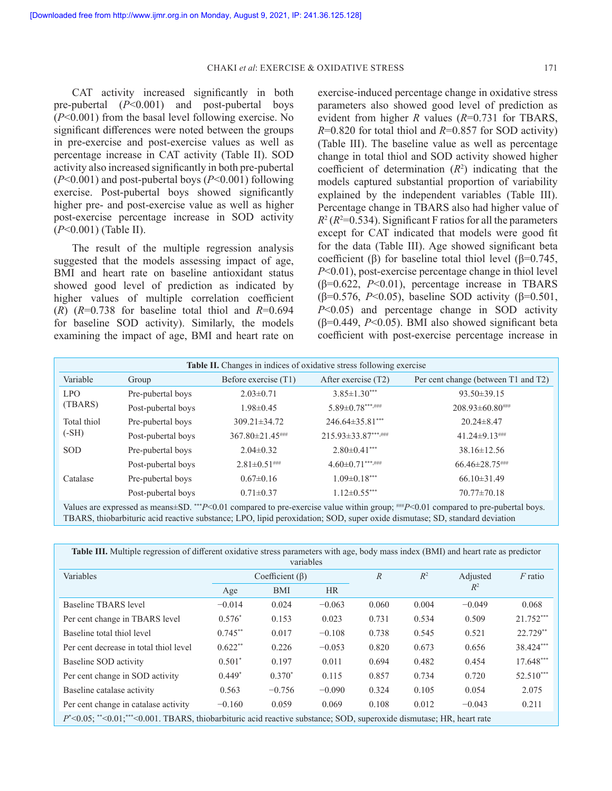CAT activity increased significantly in both pre-pubertal (*P*<0.001) and post-pubertal boys (*P*<0.001) from the basal level following exercise. No significant differences were noted between the groups in pre-exercise and post-exercise values as well as percentage increase in CAT activity (Table II). SOD activity also increased significantly in both pre-pubertal (*P*<0.001) and post-pubertal boys (*P*<0.001) following exercise. Post-pubertal boys showed significantly higher pre- and post-exercise value as well as higher post-exercise percentage increase in SOD activity (*P*<0.001) (Table II).

The result of the multiple regression analysis suggested that the models assessing impact of age, BMI and heart rate on baseline antioxidant status showed good level of prediction as indicated by higher values of multiple correlation coefficient  $(R)$   $(R=0.738$  for baseline total thiol and  $R=0.694$ for baseline SOD activity). Similarly, the models examining the impact of age, BMI and heart rate on

exercise-induced percentage change in oxidative stress parameters also showed good level of prediction as evident from higher *R* values (*R*=0.731 for TBARS, *R*=0.820 for total thiol and *R*=0.857 for SOD activity) (Table III). The baseline value as well as percentage change in total thiol and SOD activity showed higher coefficient of determination  $(R^2)$  indicating that the models captured substantial proportion of variability explained by the independent variables (Table III). Percentage change in TBARS also had higher value of  $R^2$  ( $R^2$ =0.534). Significant F ratios for all the parameters except for CAT indicated that models were good fit for the data (Table III). Age showed significant beta coefficient (β) for baseline total thiol level ( $β=0.745$ , *P*<0.01), post-exercise percentage change in thiol level (β=0.622, *P*<0.01), percentage increase in TBARS (β=0.576, *P*<0.05), baseline SOD activity (β=0.501, *P*<0.05) and percentage change in SOD activity ( $\beta$ =0.449, *P*<0.05). BMI also showed significant beta coefficient with post-exercise percentage increase in

| Table II. Changes in indices of oxidative stress following exercise |                    |                      |                        |                                                                                                                                           |  |  |  |  |  |
|---------------------------------------------------------------------|--------------------|----------------------|------------------------|-------------------------------------------------------------------------------------------------------------------------------------------|--|--|--|--|--|
| Variable                                                            | Group              | Before exercise (T1) | After exercise (T2)    | Per cent change (between T1 and T2)                                                                                                       |  |  |  |  |  |
| LPO.<br>(TBARS)                                                     | Pre-pubertal boys  | $2.03 \pm 0.71$      | $3.85 \pm 1.30$ ***    | $93.50 \pm 39.15$                                                                                                                         |  |  |  |  |  |
|                                                                     | Post-pubertal boys | $1.98 \pm 0.45$      | $5.89 \pm 0.78***$ ### | $208.93\pm 60.80$ ###                                                                                                                     |  |  |  |  |  |
| Total thiol                                                         | Pre-pubertal boys  | $309.21 \pm 34.72$   | $246.64\pm35.81***$    | $20.24 \pm 8.47$                                                                                                                          |  |  |  |  |  |
| $(-SH)$                                                             | Post-pubertal boys | $367.80 \pm 21.45$   | 215.93±33.87***,###    | $41.24 \pm 9.13$ ###                                                                                                                      |  |  |  |  |  |
| <b>SOD</b>                                                          | Pre-pubertal boys  | $2.04 \pm 0.32$      | $2.80 \pm 0.41$ ***    | $38.16 \pm 12.56$                                                                                                                         |  |  |  |  |  |
|                                                                     | Post-pubertal boys | $2.81 \pm 0.51$ ###  | $4.60 \pm 0.71***$     | $66.46 \pm 28.75$                                                                                                                         |  |  |  |  |  |
| Catalase                                                            | Pre-pubertal boys  | $0.67 \pm 0.16$      | $1.09 \pm 0.18***$     | $66.10\pm31.49$                                                                                                                           |  |  |  |  |  |
|                                                                     | Post-pubertal boys | $0.71 \pm 0.37$      | $1.12 \pm 0.55***$     | $70.77 \pm 70.18$                                                                                                                         |  |  |  |  |  |
|                                                                     |                    |                      |                        | Values are expressed as means+SD $^{***}P<0.01$ compared to pre-exercise value within group: $^{***}P<0.01$ compared to pre-pubertal hove |  |  |  |  |  |

Values are expressed as means±SD. \*\*\**P*<0.01 compared to pre-exercise value within group; ###*P*<0.01 compared to pre-pubertal boys. TBARS, thiobarbituric acid reactive substance; LPO, lipid peroxidation; SOD, super oxide dismutase; SD, standard deviation

|           |            |           | $\mathbb{R}$                       | $R^2$ | Adjusted | $F$ ratio   |
|-----------|------------|-----------|------------------------------------|-------|----------|-------------|
| Age       | <b>BMI</b> | <b>HR</b> |                                    |       |          |             |
| $-0.014$  | 0.024      | $-0.063$  | 0.060                              | 0.004 | $-0.049$ | 0.068       |
| $0.576*$  | 0.153      | 0.023     | 0.731                              | 0.534 | 0.509    | 21.752***   |
| $0.745**$ | 0.017      | $-0.108$  | 0.738                              | 0.545 | 0.521    | $22.729**$  |
| $0.622**$ | 0.226      | $-0.053$  | 0.820                              | 0.673 | 0.656    | 38.424***   |
| $0.501*$  | 0.197      | 0.011     | 0.694                              | 0.482 | 0.454    | $17.648***$ |
| $0.449*$  | $0.370*$   | 0.115     | 0.857                              | 0.734 | 0.720    | $52.510***$ |
| 0.563     | $-0.756$   | $-0.090$  | 0.324                              | 0.105 | 0.054    | 2.075       |
| $-0.160$  | 0.059      | 0.069     | 0.108                              | 0.012 | $-0.043$ | 0.211       |
|           |            |           | variables<br>Coefficient $(\beta)$ |       |          | $R^2$       |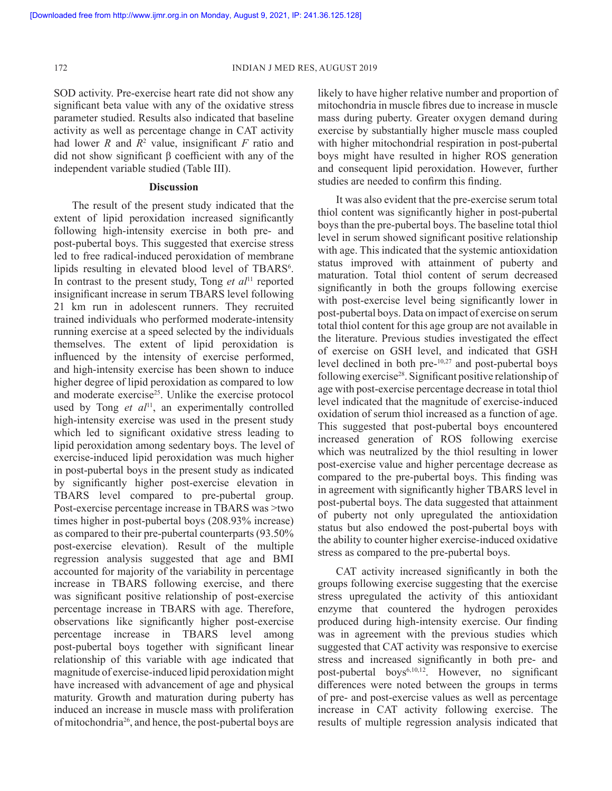SOD activity. Pre-exercise heart rate did not show any significant beta value with any of the oxidative stress parameter studied. Results also indicated that baseline activity as well as percentage change in CAT activity had lower *R* and  $R^2$  value, insignificant *F* ratio and did not show significant β coefficient with any of the independent variable studied (Table III).

# **Discussion**

The result of the present study indicated that the extent of lipid peroxidation increased significantly following high-intensity exercise in both pre- and post-pubertal boys. This suggested that exercise stress led to free radical-induced peroxidation of membrane lipids resulting in elevated blood level of TBARS<sup>6</sup>. In contrast to the present study, Tong *et al*<sup>11</sup> reported insignificant increase in serum TBARS level following 21 km run in adolescent runners. They recruited trained individuals who performed moderate-intensity running exercise at a speed selected by the individuals themselves. The extent of lipid peroxidation is influenced by the intensity of exercise performed, and high-intensity exercise has been shown to induce higher degree of lipid peroxidation as compared to low and moderate exercise<sup>25</sup>. Unlike the exercise protocol used by Tong *et al*<sup>11</sup>, an experimentally controlled high-intensity exercise was used in the present study which led to significant oxidative stress leading to lipid peroxidation among sedentary boys. The level of exercise-induced lipid peroxidation was much higher in post-pubertal boys in the present study as indicated by significantly higher post-exercise elevation in TBARS level compared to pre-pubertal group. Post-exercise percentage increase in TBARS was >two times higher in post-pubertal boys (208.93% increase) as compared to their pre-pubertal counterparts (93.50% post-exercise elevation). Result of the multiple regression analysis suggested that age and BMI accounted for majority of the variability in percentage increase in TBARS following exercise, and there was significant positive relationship of post-exercise percentage increase in TBARS with age. Therefore, observations like significantly higher post-exercise percentage increase in TBARS level among post-pubertal boys together with significant linear relationship of this variable with age indicated that magnitude of exercise-induced lipid peroxidation might have increased with advancement of age and physical maturity. Growth and maturation during puberty has induced an increase in muscle mass with proliferation of mitochondria<sup>26</sup>, and hence, the post-pubertal boys are

likely to have higher relative number and proportion of mitochondria in muscle fibres due to increase in muscle mass during puberty. Greater oxygen demand during exercise by substantially higher muscle mass coupled with higher mitochondrial respiration in post-pubertal boys might have resulted in higher ROS generation and consequent lipid peroxidation. However, further studies are needed to confirm this finding.

It was also evident that the pre-exercise serum total thiol content was significantly higher in post-pubertal boys than the pre-pubertal boys. The baseline total thiol level in serum showed significant positive relationship with age. This indicated that the systemic antioxidation status improved with attainment of puberty and maturation. Total thiol content of serum decreased significantly in both the groups following exercise with post-exercise level being significantly lower in post-pubertal boys. Data on impact of exercise on serum total thiol content for this age group are not available in the literature. Previous studies investigated the effect of exercise on GSH level, and indicated that GSH level declined in both pre-10,27 and post-pubertal boys following exercise<sup>28</sup>. Significant positive relationship of age with post-exercise percentage decrease in total thiol level indicated that the magnitude of exercise-induced oxidation of serum thiol increased as a function of age. This suggested that post-pubertal boys encountered increased generation of ROS following exercise which was neutralized by the thiol resulting in lower post-exercise value and higher percentage decrease as compared to the pre-pubertal boys. This finding was in agreement with significantly higher TBARS level in post-pubertal boys. The data suggested that attainment of puberty not only upregulated the antioxidation status but also endowed the post-pubertal boys with the ability to counter higher exercise-induced oxidative stress as compared to the pre-pubertal boys.

CAT activity increased significantly in both the groups following exercise suggesting that the exercise stress upregulated the activity of this antioxidant enzyme that countered the hydrogen peroxides produced during high-intensity exercise. Our finding was in agreement with the previous studies which suggested that CAT activity was responsive to exercise stress and increased significantly in both pre- and post-pubertal boys<sup>6,10,12</sup>. However, no significant differences were noted between the groups in terms of pre- and post-exercise values as well as percentage increase in CAT activity following exercise. The results of multiple regression analysis indicated that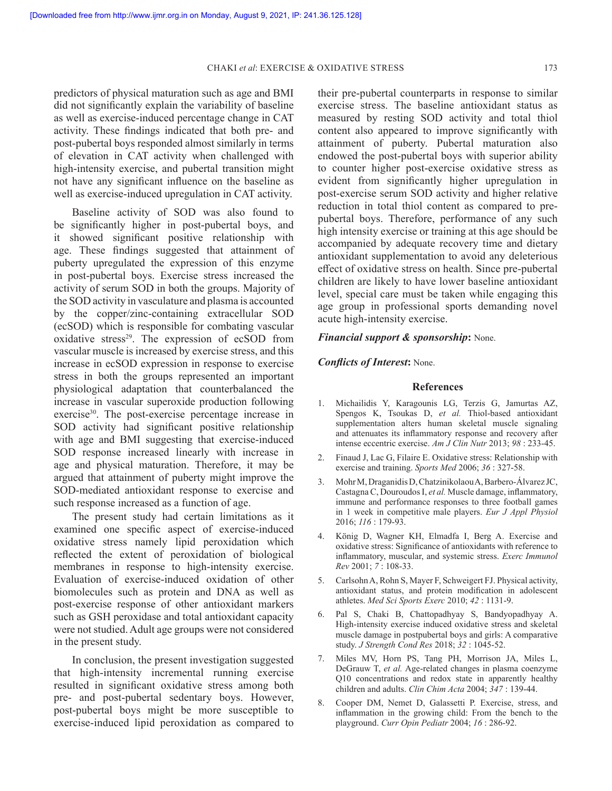predictors of physical maturation such as age and BMI did not significantly explain the variability of baseline as well as exercise-induced percentage change in CAT activity. These findings indicated that both pre- and post-pubertal boys responded almost similarly in terms of elevation in CAT activity when challenged with high-intensity exercise, and pubertal transition might not have any significant influence on the baseline as well as exercise-induced upregulation in CAT activity.

Baseline activity of SOD was also found to be significantly higher in post-pubertal boys, and it showed significant positive relationship with age. These findings suggested that attainment of puberty upregulated the expression of this enzyme in post-pubertal boys. Exercise stress increased the activity of serum SOD in both the groups. Majority of the SOD activity in vasculature and plasma is accounted by the copper/zinc-containing extracellular SOD (ecSOD) which is responsible for combating vascular oxidative stress<sup>29</sup>. The expression of ecSOD from vascular muscle is increased by exercise stress, and this increase in ecSOD expression in response to exercise stress in both the groups represented an important physiological adaptation that counterbalanced the increase in vascular superoxide production following exercise<sup>30</sup>. The post-exercise percentage increase in SOD activity had significant positive relationship with age and BMI suggesting that exercise-induced SOD response increased linearly with increase in age and physical maturation. Therefore, it may be argued that attainment of puberty might improve the SOD-mediated antioxidant response to exercise and such response increased as a function of age.

The present study had certain limitations as it examined one specific aspect of exercise-induced oxidative stress namely lipid peroxidation which reflected the extent of peroxidation of biological membranes in response to high-intensity exercise. Evaluation of exercise-induced oxidation of other biomolecules such as protein and DNA as well as post-exercise response of other antioxidant markers such as GSH peroxidase and total antioxidant capacity were not studied. Adult age groups were not considered in the present study.

In conclusion, the present investigation suggested that high-intensity incremental running exercise resulted in significant oxidative stress among both pre- and post-pubertal sedentary boys. However, post-pubertal boys might be more susceptible to exercise-induced lipid peroxidation as compared to

their pre-pubertal counterparts in response to similar exercise stress. The baseline antioxidant status as measured by resting SOD activity and total thiol content also appeared to improve significantly with attainment of puberty. Pubertal maturation also endowed the post-pubertal boys with superior ability to counter higher post-exercise oxidative stress as evident from significantly higher upregulation in post-exercise serum SOD activity and higher relative reduction in total thiol content as compared to prepubertal boys. Therefore, performance of any such high intensity exercise or training at this age should be accompanied by adequate recovery time and dietary antioxidant supplementation to avoid any deleterious effect of oxidative stress on health. Since pre-pubertal children are likely to have lower baseline antioxidant level, special care must be taken while engaging this age group in professional sports demanding novel acute high-intensity exercise.

### *Financial support & sponsorship***:** None.

## *Conflicts of Interest***:** None.

### **References**

- 1. Michailidis Y, Karagounis LG, Terzis G, Jamurtas AZ, Spengos K, Tsoukas D, *et al.* Thiol-based antioxidant supplementation alters human skeletal muscle signaling and attenuates its inflammatory response and recovery after intense eccentric exercise. *Am J Clin Nutr* 2013; *98* : 233-45.
- 2. Finaud J, Lac G, Filaire E. Oxidative stress: Relationship with exercise and training. *Sports Med* 2006; *36* : 327-58.
- 3. Mohr M, Draganidis D, Chatzinikolaou A, Barbero-Álvarez JC, Castagna C, Douroudos I, *et al.* Muscle damage, inflammatory, immune and performance responses to three football games in 1 week in competitive male players. *Eur J Appl Physiol* 2016; *116* : 179-93.
- 4. König D, Wagner KH, Elmadfa I, Berg A. Exercise and oxidative stress: Significance of antioxidants with reference to inflammatory, muscular, and systemic stress. *Exerc Immunol Rev* 2001; *7* : 108-33.
- 5. Carlsohn A, Rohn S, Mayer F, Schweigert FJ. Physical activity, antioxidant status, and protein modification in adolescent athletes. *Med Sci Sports Exerc* 2010; *42* : 1131-9.
- 6. Pal S, Chaki B, Chattopadhyay S, Bandyopadhyay A. High-intensity exercise induced oxidative stress and skeletal muscle damage in postpubertal boys and girls: A comparative study. *J Strength Cond Res* 2018; *32* : 1045-52.
- 7. Miles MV, Horn PS, Tang PH, Morrison JA, Miles L, DeGrauw T, *et al.* Age-related changes in plasma coenzyme Q10 concentrations and redox state in apparently healthy children and adults. *Clin Chim Acta* 2004; *347* : 139-44.
- 8. Cooper DM, Nemet D, Galassetti P. Exercise, stress, and inflammation in the growing child: From the bench to the playground. *Curr Opin Pediatr* 2004; *16* : 286-92.